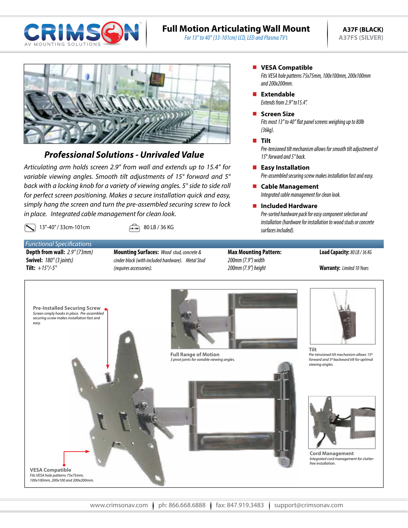

# **Full Motion Articulating Wall Mount**

*For 13" to 40" (33-101cm) LCD, LED and Plasma TV's*



# *Professional Solutions - Unrivaled Value*

*Articulating arm holds screen 2.9" from wall and extends up to 15.4" for variable viewing angles. Smooth tilt adjustments of 15° forward and 5° back with a locking knob for a variety of viewing angles. 5° side to side roll for perfect screen positioning. Makes a secure installation quick and easy, simply hang the screen and turn the pre-assembled securing screw to lock in place. Integrated cable management for clean look.* 

13"-40" / 33cm-101cm  $\sqrt{2}$  80 LB / 36 KG

*Functional Specifications* **Depth from wall:** *2.9" (73mm)* **Swivel:** *180° (3 joints)* **Tilt:** *+15°/-5°*

- **Mounting Surfaces:** *Wood stud, concrete & cinder block (with included hardware). Metal Stud (requires accessories).*
- **Max Mounting Pattern:** *200mm (7.9") width 200mm (7.9") height*

#### **Load Capacity:** *80 LB / 36 KG*

**Warranty:** *Limited 10 Years*



# **NO VESA Compatible**

*Fits VESA hole patterns 75x75mm, 100x100mm, 200x100mm and 200x200mm.*

*Extends from 2.9" to15.4".* **Extendable**

## **Screen Size**

*Fits most 13" to 40" flat panel screens weighing up to 80lb (36kg).*

#### **Tilt**

*Pre-tensioned tilt mechanism allows for smooth tilt adjustment of 15*° *forward and 5° back.*

## **Easy Installation**

*Pre-assembled securing screw makes installation fast and easy.*

- *Integrated cable management for clean look.* **Cable Management**
- **Included Hardware**

*Pre-sorted hardware pack for easy component selection and installation (hardware for installation to wood studs or concrete surfaces included).*